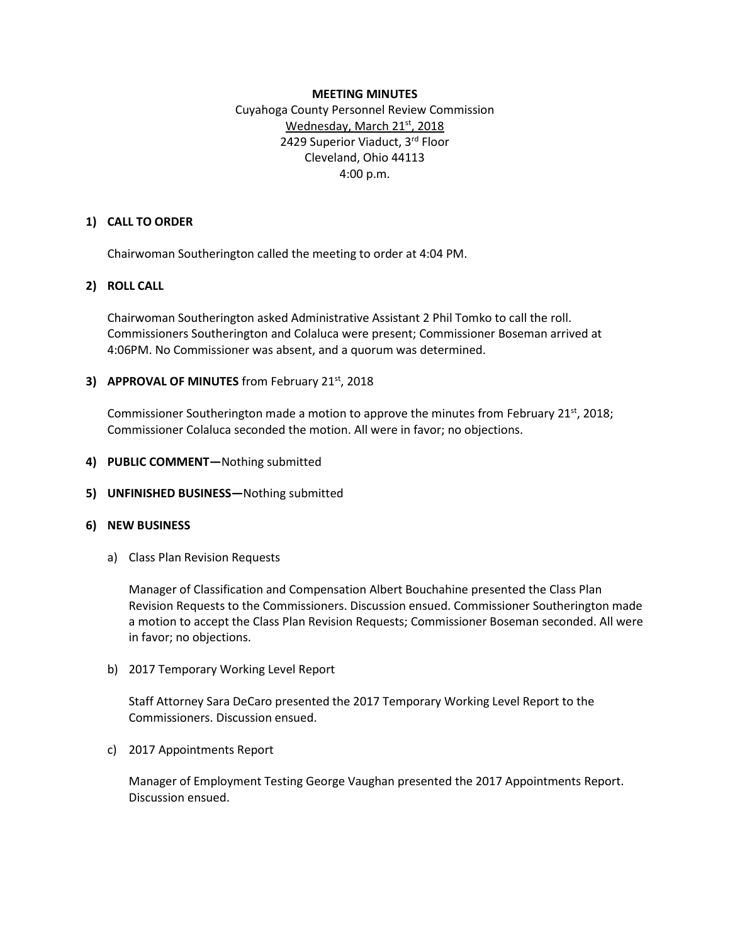### **MEETING MINUTES**

Cuyahoga County Personnel Review Commission Wednesday, March 21<sup>st</sup>, 2018 2429 Superior Viaduct, 3rd Floor Cleveland, Ohio 44113 4:00 p.m.

### **1) CALL TO ORDER**

Chairwoman Southerington called the meeting to order at 4:04 PM.

## **2) ROLL CALL**

Chairwoman Southerington asked Administrative Assistant 2 Phil Tomko to call the roll. Commissioners Southerington and Colaluca were present; Commissioner Boseman arrived at 4:06PM. No Commissioner was absent, and a quorum was determined.

## **3) APPROVAL OF MINUTES** from February 21st, 2018

Commissioner Southerington made a motion to approve the minutes from February 21 $\mathrm{^{st}}$ , 2018; Commissioner Colaluca seconded the motion. All were in favor; no objections.

- **4) PUBLIC COMMENT—**Nothing submitted
- **5) UNFINISHED BUSINESS—**Nothing submitted

#### **6) NEW BUSINESS**

a) Class Plan Revision Requests

Manager of Classification and Compensation Albert Bouchahine presented the Class Plan Revision Requests to the Commissioners. Discussion ensued. Commissioner Southerington made a motion to accept the Class Plan Revision Requests; Commissioner Boseman seconded. All were in favor; no objections.

b) 2017 Temporary Working Level Report

Staff Attorney Sara DeCaro presented the 2017 Temporary Working Level Report to the Commissioners. Discussion ensued.

c) 2017 Appointments Report

Manager of Employment Testing George Vaughan presented the 2017 Appointments Report. Discussion ensued.